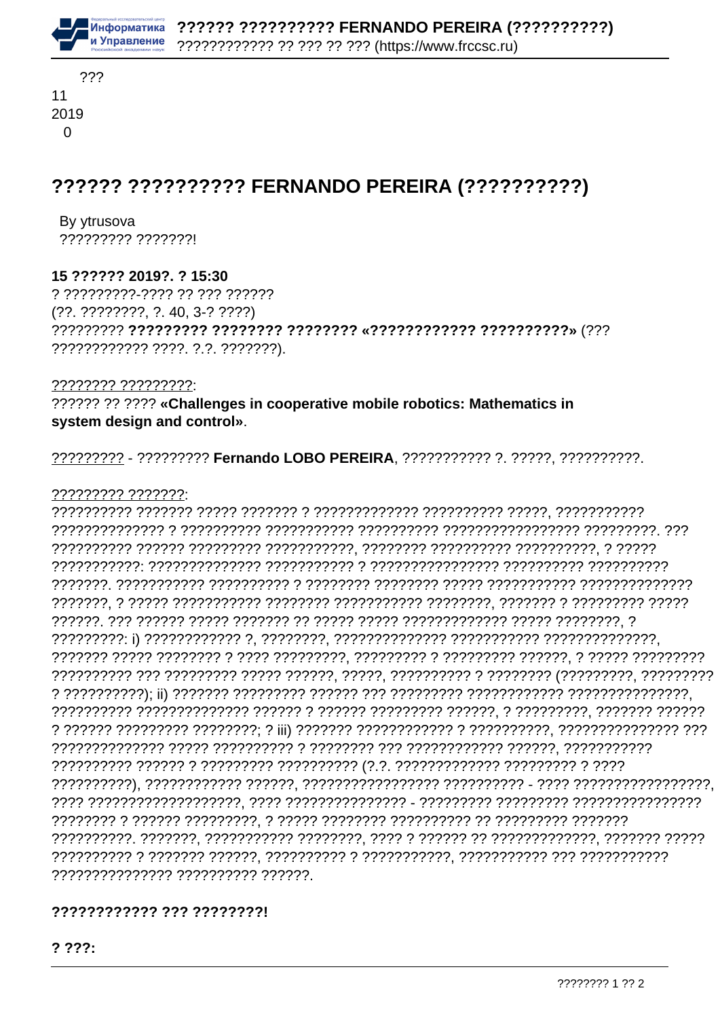

## ?????? ?????????? FERNANDO PEREIRA (??????????)

By ytrusova ????????? ???????!

#### 15 ?????? 2019?. ? 15:30

? ?????????-???? ?? ??? ??????  $(??. ?????????$ ,  $?.40.3-?????$ ???????????? ????. ?.?. ???????).

???????? ?????????

?????? ?? ???? «Challenges in cooperative mobile robotics: Mathematics in system design and control».

????????? - ????????? Fernando LOBO PEREIRA. ?????????? ?. ?????. ??????????.

#### 

nanananan'ilay kaominina dia 412.11443° ary -0.11114444. Ary -0.111211211212121212121212121212121212 ??????????????? ?????????? ??????.

### 777777777777 777 77777777

 $2222:$